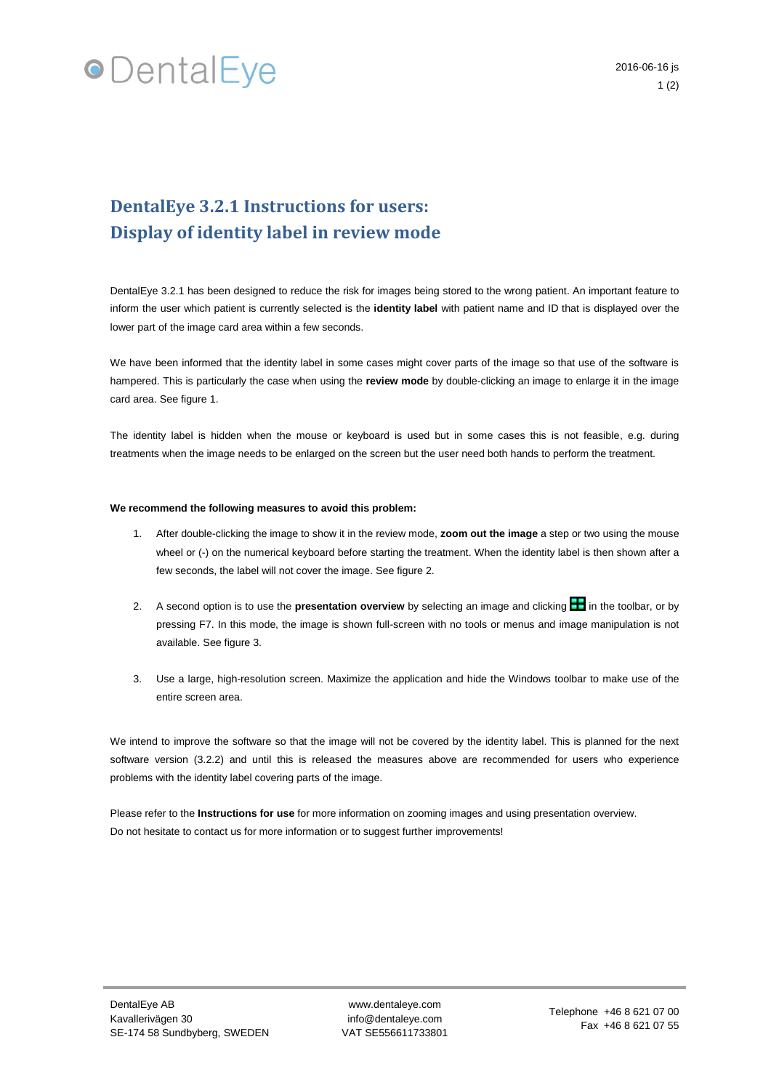## **•**DentalEye

### **DentalEye 3.2.1 Instructions for users: Display of identity label in review mode**

DentalEye 3.2.1 has been designed to reduce the risk for images being stored to the wrong patient. An important feature to inform the user which patient is currently selected is the **identity label** with patient name and ID that is displayed over the lower part of the image card area within a few seconds.

We have been informed that the identity label in some cases might cover parts of the image so that use of the software is hampered. This is particularly the case when using the **review mode** by double-clicking an image to enlarge it in the image card area. See figure 1.

The identity label is hidden when the mouse or keyboard is used but in some cases this is not feasible, e.g. during treatments when the image needs to be enlarged on the screen but the user need both hands to perform the treatment.

#### **We recommend the following measures to avoid this problem:**

- 1. After double-clicking the image to show it in the review mode, **zoom out the image** a step or two using the mouse wheel or (-) on the numerical keyboard before starting the treatment. When the identity label is then shown after a few seconds, the label will not cover the image. See figure 2.
- 2. A second option is to use the **presentation overview** by selecting an image and clicking **in** in the toolbar, or by pressing F7. In this mode, the image is shown full-screen with no tools or menus and image manipulation is not available. See figure 3.
- 3. Use a large, high-resolution screen. Maximize the application and hide the Windows toolbar to make use of the entire screen area.

We intend to improve the software so that the image will not be covered by the identity label. This is planned for the next software version (3.2.2) and until this is released the measures above are recommended for users who experience problems with the identity label covering parts of the image.

Please refer to the **Instructions for use** for more information on zooming images and using presentation overview. Do not hesitate to contact us for more information or to suggest further improvements!

www.dentaleye.com info@dentaleye.com VAT SE556611733801